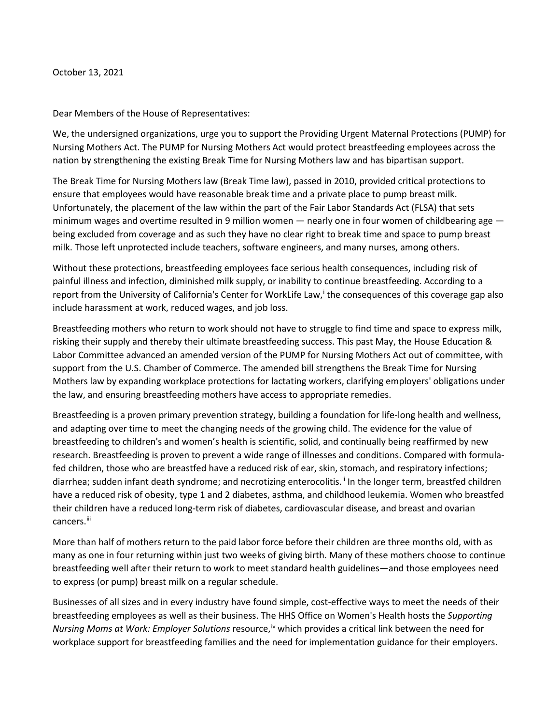October 13, 2021

Dear Members of the House of Representatives:

We, the undersigned organizations, urge you to support the Providing Urgent Maternal Protections (PUMP) for Nursing Mothers Act. The PUMP for Nursing Mothers Act would protect breastfeeding employees across the nation by strengthening the existing Break Time for Nursing Mothers law and has bipartisan support.

The Break Time for Nursing Mothers law (Break Time law), passed in 2010, provided critical protections to ensure that employees would have reasonable break time and a private place to pump breast milk. Unfortunately, the placement of the law within the part of the Fair Labor Standards Act (FLSA) that sets minimum wages and overtime resulted in 9 million women  $-$  nearly one in four women of childbearing age  $$ being excluded from coverage and as such they have no clear right to break time and space to pump breast milk. Those left unprotected include teachers, software engineers, and many nurses, among others.

Without these protections, breastfeeding employees face serious health consequences, including risk of painful illness and infection, diminished milk supply, or inability to continue breastfeeding. According to a report from the Un[i](#page-3-0)versity of California's Center for WorkLife Law, the consequences of this coverage gap also include harassment at work, reduced wages, and job loss.

Breastfeeding mothers who return to work should not have to struggle to find time and space to express milk, risking their supply and thereby their ultimate breastfeeding success. This past May, the House Education & Labor Committee advanced an amended version of the PUMP for Nursing Mothers Act out of committee, with support from the U.S. Chamber of Commerce. The amended bill strengthens the Break Time for Nursing Mothers law by expanding workplace protections for lactating workers, clarifying employers' obligations under the law, and ensuring breastfeeding mothers have access to appropriate remedies.

Breastfeeding is a proven primary prevention strategy, building a foundation for life-long health and wellness, and adapting over time to meet the changing needs of the growing child. The evidence for the value of breastfeeding to children's and women's health is scientific, solid, and continually being reaffirmed by new research. Breastfeeding is proven to prevent a wide range of illnesses and conditions. Compared with formulafed children, those who are breastfed have a reduced risk of ear, skin, stomach, and respiratory infections; diarrhea; sudden infant death syndrome; and necrotizing enterocolitis.<sup>[ii](#page-3-1)</sup> In the longer term, breastfed children have a reduced risk of obesity, type 1 and 2 diabetes, asthma, and childhood leukemia. Women who breastfed their children have a reduced long-term risk of diabetes, cardiovascular disease, and breast and ovarian cancers.<sup>[iii](#page-3-2)</sup>

More than half of mothers return to the paid labor force before their children are three months old, with as many as one in four returning within just two weeks of giving birth. Many of these mothers choose to continue breastfeeding well after their return to work to meet standard health guidelines—and those employees need to express (or pump) breast milk on a regular schedule.

Businesses of all sizes and in every industry have found simple, cost-effective ways to meet the needs of their breastfeeding employees as well as their business. The HHS Office on Women's Health hosts the *Supporting*  Nursing Moms at Work: Employer Solutions resource,<sup>[iv](#page-3-3)</sup> which provides a critical link between the need for workplace support for breastfeeding families and the need for implementation guidance for their employers.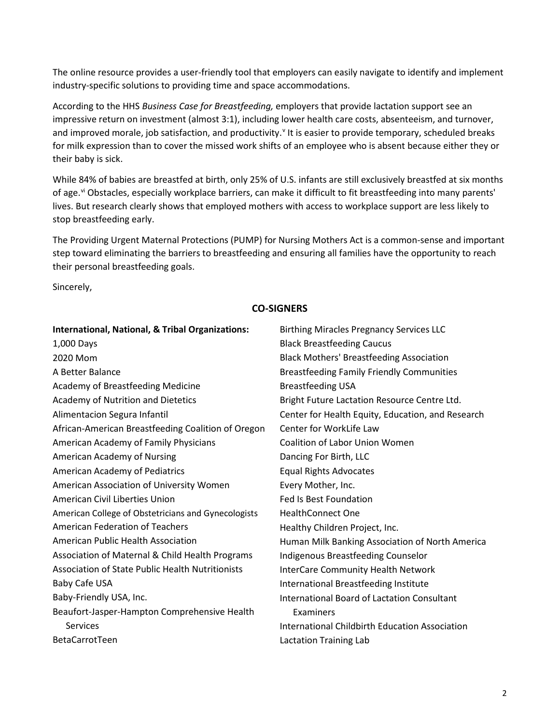The online resource provides a user-friendly tool that employers can easily navigate to identify and implement industry-specific solutions to providing time and space accommodations.

According to the HHS *Business Case for Breastfeeding,* employers that provide lactation support see an impressive return on investment (almost 3:1), including lower health care costs, absenteeism, and turnover, and impro[v](#page-3-4)ed morale, job satisfaction, and productivity. It is easier to provide temporary, scheduled breaks for milk expression than to cover the missed work shifts of an employee who is absent because either they or their baby is sick.

While 84% of babies are breastfed at birth, only 25% of U.S. infants are still exclusively breastfed at six months of age.<sup>[vi](#page-4-0)</sup> Obstacles, especially workplace barriers, can make it difficult to fit breastfeeding into many parents' lives. But research clearly shows that employed mothers with access to workplace support are less likely to stop breastfeeding early.

The Providing Urgent Maternal Protections (PUMP) for Nursing Mothers Act is a common-sense and important step toward eliminating the barriers to breastfeeding and ensuring all families have the opportunity to reach their personal breastfeeding goals.

Sincerely,

## **CO-SIGNERS**

| <b>Black Breastfeeding Caucus</b><br>1,000 Days<br><b>Black Mothers' Breastfeeding Association</b><br>2020 Mom<br>A Better Balance<br><b>Breastfeeding Family Friendly Communities</b><br>Academy of Breastfeeding Medicine<br><b>Breastfeeding USA</b><br>Academy of Nutrition and Dietetics<br>Bright Future Lactation Resource Centre Ltd.<br>Alimentacion Segura Infantil<br>Center for Health Equity, Education, and Research<br>Center for WorkLife Law<br>African-American Breastfeeding Coalition of Oregon<br>American Academy of Family Physicians<br><b>Coalition of Labor Union Women</b><br>American Academy of Nursing<br>Dancing For Birth, LLC<br>American Academy of Pediatrics<br><b>Equal Rights Advocates</b><br>American Association of University Women<br>Every Mother, Inc.<br>American Civil Liberties Union<br><b>Fed Is Best Foundation</b><br>American College of Obstetricians and Gynecologists<br><b>HealthConnect One</b><br><b>American Federation of Teachers</b><br>Healthy Children Project, Inc.<br>American Public Health Association<br>Human Milk Banking Association of North America<br>Association of Maternal & Child Health Programs<br>Indigenous Breastfeeding Counselor<br><b>Association of State Public Health Nutritionists</b><br><b>InterCare Community Health Network</b><br>Baby Cafe USA<br>International Breastfeeding Institute<br>Baby-Friendly USA, Inc.<br>International Board of Lactation Consultant<br>Beaufort-Jasper-Hampton Comprehensive Health<br>Examiners<br>Services<br>International Childbirth Education Association | <b>International, National, &amp; Tribal Organizations:</b> | <b>Birthing Miracles Pregnancy Services LLC</b> |
|------------------------------------------------------------------------------------------------------------------------------------------------------------------------------------------------------------------------------------------------------------------------------------------------------------------------------------------------------------------------------------------------------------------------------------------------------------------------------------------------------------------------------------------------------------------------------------------------------------------------------------------------------------------------------------------------------------------------------------------------------------------------------------------------------------------------------------------------------------------------------------------------------------------------------------------------------------------------------------------------------------------------------------------------------------------------------------------------------------------------------------------------------------------------------------------------------------------------------------------------------------------------------------------------------------------------------------------------------------------------------------------------------------------------------------------------------------------------------------------------------------------------------------------------------------------------------------------------|-------------------------------------------------------------|-------------------------------------------------|
|                                                                                                                                                                                                                                                                                                                                                                                                                                                                                                                                                                                                                                                                                                                                                                                                                                                                                                                                                                                                                                                                                                                                                                                                                                                                                                                                                                                                                                                                                                                                                                                                |                                                             |                                                 |
|                                                                                                                                                                                                                                                                                                                                                                                                                                                                                                                                                                                                                                                                                                                                                                                                                                                                                                                                                                                                                                                                                                                                                                                                                                                                                                                                                                                                                                                                                                                                                                                                |                                                             |                                                 |
|                                                                                                                                                                                                                                                                                                                                                                                                                                                                                                                                                                                                                                                                                                                                                                                                                                                                                                                                                                                                                                                                                                                                                                                                                                                                                                                                                                                                                                                                                                                                                                                                |                                                             |                                                 |
|                                                                                                                                                                                                                                                                                                                                                                                                                                                                                                                                                                                                                                                                                                                                                                                                                                                                                                                                                                                                                                                                                                                                                                                                                                                                                                                                                                                                                                                                                                                                                                                                |                                                             |                                                 |
|                                                                                                                                                                                                                                                                                                                                                                                                                                                                                                                                                                                                                                                                                                                                                                                                                                                                                                                                                                                                                                                                                                                                                                                                                                                                                                                                                                                                                                                                                                                                                                                                |                                                             |                                                 |
|                                                                                                                                                                                                                                                                                                                                                                                                                                                                                                                                                                                                                                                                                                                                                                                                                                                                                                                                                                                                                                                                                                                                                                                                                                                                                                                                                                                                                                                                                                                                                                                                |                                                             |                                                 |
|                                                                                                                                                                                                                                                                                                                                                                                                                                                                                                                                                                                                                                                                                                                                                                                                                                                                                                                                                                                                                                                                                                                                                                                                                                                                                                                                                                                                                                                                                                                                                                                                |                                                             |                                                 |
|                                                                                                                                                                                                                                                                                                                                                                                                                                                                                                                                                                                                                                                                                                                                                                                                                                                                                                                                                                                                                                                                                                                                                                                                                                                                                                                                                                                                                                                                                                                                                                                                |                                                             |                                                 |
|                                                                                                                                                                                                                                                                                                                                                                                                                                                                                                                                                                                                                                                                                                                                                                                                                                                                                                                                                                                                                                                                                                                                                                                                                                                                                                                                                                                                                                                                                                                                                                                                |                                                             |                                                 |
|                                                                                                                                                                                                                                                                                                                                                                                                                                                                                                                                                                                                                                                                                                                                                                                                                                                                                                                                                                                                                                                                                                                                                                                                                                                                                                                                                                                                                                                                                                                                                                                                |                                                             |                                                 |
|                                                                                                                                                                                                                                                                                                                                                                                                                                                                                                                                                                                                                                                                                                                                                                                                                                                                                                                                                                                                                                                                                                                                                                                                                                                                                                                                                                                                                                                                                                                                                                                                |                                                             |                                                 |
|                                                                                                                                                                                                                                                                                                                                                                                                                                                                                                                                                                                                                                                                                                                                                                                                                                                                                                                                                                                                                                                                                                                                                                                                                                                                                                                                                                                                                                                                                                                                                                                                |                                                             |                                                 |
|                                                                                                                                                                                                                                                                                                                                                                                                                                                                                                                                                                                                                                                                                                                                                                                                                                                                                                                                                                                                                                                                                                                                                                                                                                                                                                                                                                                                                                                                                                                                                                                                |                                                             |                                                 |
|                                                                                                                                                                                                                                                                                                                                                                                                                                                                                                                                                                                                                                                                                                                                                                                                                                                                                                                                                                                                                                                                                                                                                                                                                                                                                                                                                                                                                                                                                                                                                                                                |                                                             |                                                 |
|                                                                                                                                                                                                                                                                                                                                                                                                                                                                                                                                                                                                                                                                                                                                                                                                                                                                                                                                                                                                                                                                                                                                                                                                                                                                                                                                                                                                                                                                                                                                                                                                |                                                             |                                                 |
|                                                                                                                                                                                                                                                                                                                                                                                                                                                                                                                                                                                                                                                                                                                                                                                                                                                                                                                                                                                                                                                                                                                                                                                                                                                                                                                                                                                                                                                                                                                                                                                                |                                                             |                                                 |
|                                                                                                                                                                                                                                                                                                                                                                                                                                                                                                                                                                                                                                                                                                                                                                                                                                                                                                                                                                                                                                                                                                                                                                                                                                                                                                                                                                                                                                                                                                                                                                                                |                                                             |                                                 |
|                                                                                                                                                                                                                                                                                                                                                                                                                                                                                                                                                                                                                                                                                                                                                                                                                                                                                                                                                                                                                                                                                                                                                                                                                                                                                                                                                                                                                                                                                                                                                                                                |                                                             |                                                 |
|                                                                                                                                                                                                                                                                                                                                                                                                                                                                                                                                                                                                                                                                                                                                                                                                                                                                                                                                                                                                                                                                                                                                                                                                                                                                                                                                                                                                                                                                                                                                                                                                |                                                             |                                                 |
|                                                                                                                                                                                                                                                                                                                                                                                                                                                                                                                                                                                                                                                                                                                                                                                                                                                                                                                                                                                                                                                                                                                                                                                                                                                                                                                                                                                                                                                                                                                                                                                                |                                                             |                                                 |
|                                                                                                                                                                                                                                                                                                                                                                                                                                                                                                                                                                                                                                                                                                                                                                                                                                                                                                                                                                                                                                                                                                                                                                                                                                                                                                                                                                                                                                                                                                                                                                                                |                                                             |                                                 |
|                                                                                                                                                                                                                                                                                                                                                                                                                                                                                                                                                                                                                                                                                                                                                                                                                                                                                                                                                                                                                                                                                                                                                                                                                                                                                                                                                                                                                                                                                                                                                                                                | BetaCarrotTeen                                              | <b>Lactation Training Lab</b>                   |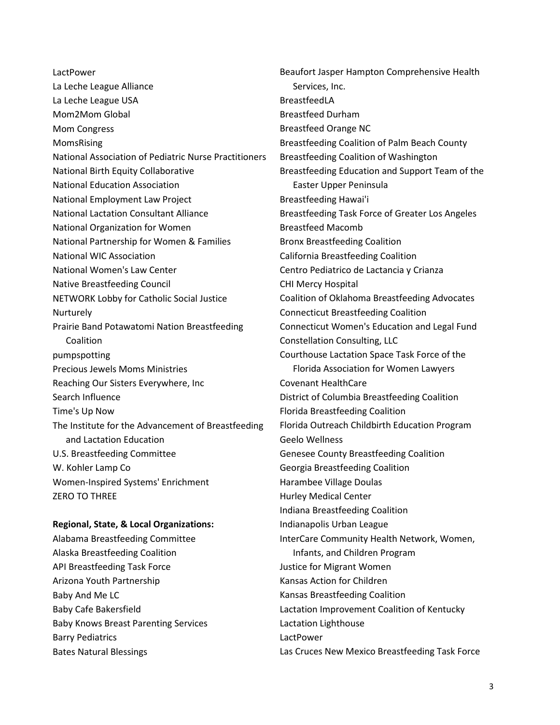LactPower La Leche League Alliance La Leche League USA Mom2Mom Global Mom Congress MomsRising National Association of Pediatric Nurse Practitioners National Birth Equity Collaborative National Education Association National Employment Law Project National Lactation Consultant Alliance National Organization for Women National Partnership for Women & Families National WIC Association National Women's Law Center Native Breastfeeding Council NETWORK Lobby for Catholic Social Justice Nurturely Prairie Band Potawatomi Nation Breastfeeding Coalition pumpspotting Precious Jewels Moms Ministries Reaching Our Sisters Everywhere, Inc Search Influence Time's Up Now The Institute for the Advancement of Breastfeeding and Lactation Education U.S. Breastfeeding Committee W. Kohler Lamp Co Women-Inspired Systems' Enrichment ZERO TO THREE

## **Regional, State, & Local Organizations:**

Alabama Breastfeeding Committee Alaska Breastfeeding Coalition API Breastfeeding Task Force Arizona Youth Partnership Baby And Me LC Baby Cafe Bakersfield Baby Knows Breast Parenting Services Barry Pediatrics Bates Natural Blessings

Beaufort Jasper Hampton Comprehensive Health Services, Inc. BreastfeedLA Breastfeed Durham Breastfeed Orange NC Breastfeeding Coalition of Palm Beach County Breastfeeding Coalition of Washington Breastfeeding Education and Support Team of the Easter Upper Peninsula Breastfeeding Hawai'i Breastfeeding Task Force of Greater Los Angeles Breastfeed Macomb Bronx Breastfeeding Coalition California Breastfeeding Coalition Centro Pediatrico de Lactancia y Crianza CHI Mercy Hospital Coalition of Oklahoma Breastfeeding Advocates Connecticut Breastfeeding Coalition Connecticut Women's Education and Legal Fund Constellation Consulting, LLC Courthouse Lactation Space Task Force of the Florida Association for Women Lawyers Covenant HealthCare District of Columbia Breastfeeding Coalition Florida Breastfeeding Coalition Florida Outreach Childbirth Education Program Geelo Wellness Genesee County Breastfeeding Coalition Georgia Breastfeeding Coalition Harambee Village Doulas Hurley Medical Center Indiana Breastfeeding Coalition Indianapolis Urban League InterCare Community Health Network, Women, Infants, and Children Program Justice for Migrant Women Kansas Action for Children Kansas Breastfeeding Coalition Lactation Improvement Coalition of Kentucky Lactation Lighthouse LactPower Las Cruces New Mexico Breastfeeding Task Force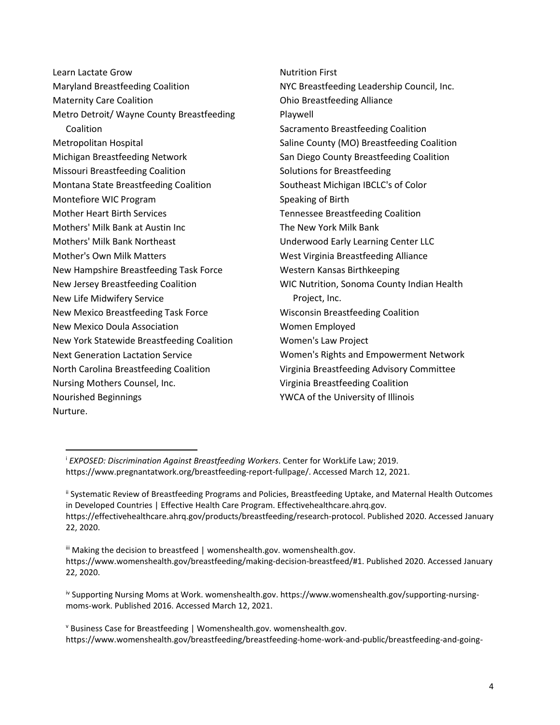| Learn Lactate Grow                         | <b>Nutrition First</b>                     |
|--------------------------------------------|--------------------------------------------|
| <b>Maryland Breastfeeding Coalition</b>    | NYC Breastfeeding Leadership Council, Inc. |
| <b>Maternity Care Coalition</b>            | <b>Ohio Breastfeeding Alliance</b>         |
| Metro Detroit/ Wayne County Breastfeeding  | Playwell                                   |
| Coalition                                  | Sacramento Breastfeeding Coalition         |
| Metropolitan Hospital                      | Saline County (MO) Breastfeeding Coalition |
| Michigan Breastfeeding Network             | San Diego County Breastfeeding Coalition   |
| <b>Missouri Breastfeeding Coalition</b>    | Solutions for Breastfeeding                |
| Montana State Breastfeeding Coalition      | Southeast Michigan IBCLC's of Color        |
| Montefiore WIC Program                     | Speaking of Birth                          |
| <b>Mother Heart Birth Services</b>         | <b>Tennessee Breastfeeding Coalition</b>   |
| Mothers' Milk Bank at Austin Inc           | The New York Milk Bank                     |
| <b>Mothers' Milk Bank Northeast</b>        | Underwood Early Learning Center LLC        |
| <b>Mother's Own Milk Matters</b>           | West Virginia Breastfeeding Alliance       |
| New Hampshire Breastfeeding Task Force     | Western Kansas Birthkeeping                |
| New Jersey Breastfeeding Coalition         | WIC Nutrition, Sonoma County Indian Health |
| New Life Midwifery Service                 | Project, Inc.                              |
| New Mexico Breastfeeding Task Force        | <b>Wisconsin Breastfeeding Coalition</b>   |
| New Mexico Doula Association               | Women Employed                             |
| New York Statewide Breastfeeding Coalition | Women's Law Project                        |
| <b>Next Generation Lactation Service</b>   | Women's Rights and Empowerment Network     |
| North Carolina Breastfeeding Coalition     | Virginia Breastfeeding Advisory Committee  |
| Nursing Mothers Counsel, Inc.              | Virginia Breastfeeding Coalition           |
| Nourished Beginnings                       | YWCA of the University of Illinois         |
| Nurture.                                   |                                            |

<span id="page-3-0"></span><sup>i</sup> *EXPOSED: Discrimination Against Breastfeeding Workers*. Center for WorkLife Law; 2019. https://www.pregnantatwork.org/breastfeeding-report-fullpage/. Accessed March 12, 2021.

<span id="page-3-1"></span>ii Systematic Review of Breastfeeding Programs and Policies, Breastfeeding Uptake, and Maternal Health Outcomes in Developed Countries | Effective Health Care Program. Effectivehealthcare.ahrq.gov. https://effectivehealthcare.ahrq.gov/products/breastfeeding/research-protocol. Published 2020. Accessed January 22, 2020.

<span id="page-3-2"></span>iii Making the decision to breastfeed | womenshealth.gov. womenshealth.gov. https://www.womenshealth.gov/breastfeeding/making-decision-breastfeed/#1. Published 2020. Accessed January 22, 2020.

<span id="page-3-3"></span>iv Supporting Nursing Moms at Work. womenshealth.gov. https://www.womenshealth.gov/supporting-nursingmoms-work. Published 2016. Accessed March 12, 2021.

<span id="page-3-4"></span><sup>v</sup> Business Case for Breastfeeding | Womenshealth.gov. womenshealth.gov. https://www.womenshealth.gov/breastfeeding/breastfeeding-home-work-and-public/breastfeeding-and-going-